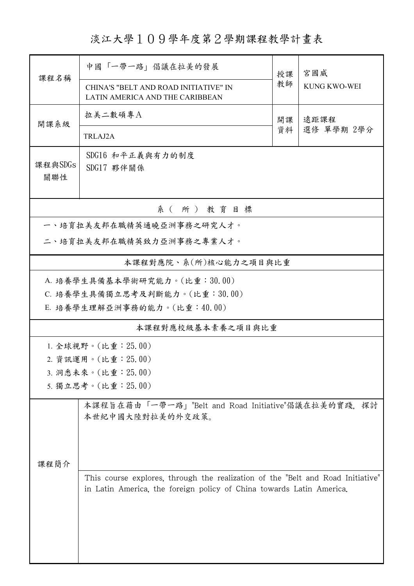淡江大學109學年度第2學期課程教學計畫表

| 課程名稱                         | 中國「一帶一路」倡議在拉美的發展                                                                                                                                        | 授課         | 宮國威                 |  |  |  |  |  |  |  |  |
|------------------------------|---------------------------------------------------------------------------------------------------------------------------------------------------------|------------|---------------------|--|--|--|--|--|--|--|--|
|                              | CHINA'S "BELT AND ROAD INITIATIVE" IN<br>LATIN AMERICA AND THE CARIBBEAN                                                                                | 教師         | <b>KUNG KWO-WEI</b> |  |  |  |  |  |  |  |  |
| 開課系級                         | 拉美二數碩專A                                                                                                                                                 | 遠距課程<br>開課 |                     |  |  |  |  |  |  |  |  |
|                              | TRLAJ2A                                                                                                                                                 | 資料         | 選修 單學期 2學分          |  |  |  |  |  |  |  |  |
| 課程與SDGs<br>關聯性               | SDG16 和平正義與有力的制度<br>SDG17 夥伴關係                                                                                                                          |            |                     |  |  |  |  |  |  |  |  |
| 系(所)教育目標                     |                                                                                                                                                         |            |                     |  |  |  |  |  |  |  |  |
| 一、培育拉美友邦在職精英通曉亞洲事務之研究人才。     |                                                                                                                                                         |            |                     |  |  |  |  |  |  |  |  |
| 二、培育拉美友邦在職精英致力亞洲事務之專業人才。     |                                                                                                                                                         |            |                     |  |  |  |  |  |  |  |  |
|                              | 本課程對應院、系(所)核心能力之項目與比重                                                                                                                                   |            |                     |  |  |  |  |  |  |  |  |
| A. 培養學生具備基本學術研究能力。(比重:30.00) |                                                                                                                                                         |            |                     |  |  |  |  |  |  |  |  |
|                              | C. 培養學生具備獨立思考及判斷能力。(比重:30.00)                                                                                                                           |            |                     |  |  |  |  |  |  |  |  |
|                              | E. 培養學生理解亞洲事務的能力。(比重:40.00)                                                                                                                             |            |                     |  |  |  |  |  |  |  |  |
|                              | 本課程對應校級基本素養之項目與比重                                                                                                                                       |            |                     |  |  |  |  |  |  |  |  |
|                              | 1. 全球視野。(比重: 25.00)                                                                                                                                     |            |                     |  |  |  |  |  |  |  |  |
|                              | 2. 資訊運用。(比重: 25.00)                                                                                                                                     |            |                     |  |  |  |  |  |  |  |  |
|                              | 3. 洞悉未來。(比重: 25.00)                                                                                                                                     |            |                     |  |  |  |  |  |  |  |  |
|                              | 5. 獨立思考。(比重: 25.00)                                                                                                                                     |            |                     |  |  |  |  |  |  |  |  |
|                              | 本課程旨在藉由「一帶一路」"Belt and Road Initiative"倡議在拉美的實踐,<br>探討<br>本世紀中國大陸對拉美的外交政策。                                                                              |            |                     |  |  |  |  |  |  |  |  |
| 課程簡介                         |                                                                                                                                                         |            |                     |  |  |  |  |  |  |  |  |
|                              | This course explores, through the realization of the "Belt and Road Initiative"<br>in Latin America, the foreign policy of China towards Latin America. |            |                     |  |  |  |  |  |  |  |  |
|                              |                                                                                                                                                         |            |                     |  |  |  |  |  |  |  |  |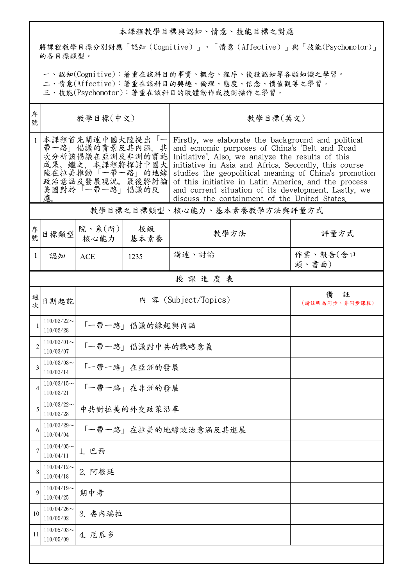## 本課程教學目標與認知、情意、技能目標之對應

將課程教學目標分別對應「認知(Cognitive)」、「情意(Affective)」與「技能(Psychomotor)」 的各目標類型。

一、認知(Cognitive):著重在該科目的事實、概念、程序、後設認知等各類知識之學習。

二、情意(Affective):著重在該科目的興趣、倫理、態度、信念、價值觀等之學習。

三、技能(Psychomotor):著重在該科目的肢體動作或技術操作之學習。

| 序<br>號         | 教學目標(中文)                     |                                                                                                                                   |                  | 教學目標(英文)                                                                                                                                                                                                                                                                                                                                                                                                                                    |                          |  |  |  |  |  |
|----------------|------------------------------|-----------------------------------------------------------------------------------------------------------------------------------|------------------|---------------------------------------------------------------------------------------------------------------------------------------------------------------------------------------------------------------------------------------------------------------------------------------------------------------------------------------------------------------------------------------------------------------------------------------------|--------------------------|--|--|--|--|--|
|                | 應。                           | 本課程首先闡述中國大陸提出「一<br>帶一路」倡議的背景及其內涵, 其<br>次分析該倡議在亞洲及非洲的實施<br>成果。繼之,本課程將探討中國大<br>陸在拉美推動「一帶一路」的地緣<br>政治意涵及發展現況。最後將討論<br>美國對於「一帶一路」倡議的反 |                  | Firstly, we elaborate the background and political<br>and ecnomic purposes of China's "Belt and Road<br>Initiative". Also, we analyze the results of this<br>initiative in Asia and Africa. Secondly, this course<br>studies the geopolitical meaning of China's promotion<br>of this initiative in Latin America, and the process<br>and current situation of its development. Lastly, we<br>discuss the containment of the United States. |                          |  |  |  |  |  |
|                | 教學目標之目標類型、核心能力、基本素養教學方法與評量方式 |                                                                                                                                   |                  |                                                                                                                                                                                                                                                                                                                                                                                                                                             |                          |  |  |  |  |  |
| 序號             | 目標類型                         | 院、系 $(\kappa)$  <br>核心能力   基本素養                                                                                                   | 校級               | 教學方法                                                                                                                                                                                                                                                                                                                                                                                                                                        | 評量方式                     |  |  |  |  |  |
| 1              | 認知                           | <b>ACE</b>                                                                                                                        | 1235             | 講述、討論                                                                                                                                                                                                                                                                                                                                                                                                                                       | 作業、報告(含口<br>頭、書面)        |  |  |  |  |  |
|                |                              |                                                                                                                                   |                  | 授課進度表                                                                                                                                                                                                                                                                                                                                                                                                                                       |                          |  |  |  |  |  |
| 週<br>次         | 日期起訖                         |                                                                                                                                   |                  | 內 容 (Subject/Topics)                                                                                                                                                                                                                                                                                                                                                                                                                        | 備<br>註<br>(請註明為同步、非同步課程) |  |  |  |  |  |
| 1              | $110/02/22$ ~<br>110/02/28   |                                                                                                                                   | 「一帶一路」倡議的緣起與內涵   |                                                                                                                                                                                                                                                                                                                                                                                                                                             |                          |  |  |  |  |  |
| $\overline{2}$ | $110/03/01$ ~<br>110/03/07   |                                                                                                                                   | 「一帶一路」倡議對中共的戰略意義 |                                                                                                                                                                                                                                                                                                                                                                                                                                             |                          |  |  |  |  |  |
| 3              | $110/03/08$ ~<br>110/03/14   | 「一帶一路」在亞洲的發展                                                                                                                      |                  |                                                                                                                                                                                                                                                                                                                                                                                                                                             |                          |  |  |  |  |  |
|                | $110/03/15$ ~<br>110/03/21   | 「一帶一路」在非洲的發展                                                                                                                      |                  |                                                                                                                                                                                                                                                                                                                                                                                                                                             |                          |  |  |  |  |  |
| 5              | $110/03/22$ ~<br>110/03/28   | 中共對拉美的外交政策沿革                                                                                                                      |                  |                                                                                                                                                                                                                                                                                                                                                                                                                                             |                          |  |  |  |  |  |
| 6              | $110/03/29$ ~<br>110/04/04   | 「一帶一路」在拉美的地緣政治意涵及其進展                                                                                                              |                  |                                                                                                                                                                                                                                                                                                                                                                                                                                             |                          |  |  |  |  |  |
| 7              | $110/04/05$ ~<br>110/04/11   | 1. 巴西                                                                                                                             |                  |                                                                                                                                                                                                                                                                                                                                                                                                                                             |                          |  |  |  |  |  |
| 8              | $110/04/12$ ~<br>110/04/18   | 2. 阿根廷                                                                                                                            |                  |                                                                                                                                                                                                                                                                                                                                                                                                                                             |                          |  |  |  |  |  |
| 9              | $110/04/19$ ~<br>110/04/25   | 期中考                                                                                                                               |                  |                                                                                                                                                                                                                                                                                                                                                                                                                                             |                          |  |  |  |  |  |
| 10             | $110/04/26$ ~<br>110/05/02   | 3. 委內瑞拉                                                                                                                           |                  |                                                                                                                                                                                                                                                                                                                                                                                                                                             |                          |  |  |  |  |  |
| 11             | $110/05/03$ ~<br>110/05/09   | 4. 厄瓜多                                                                                                                            |                  |                                                                                                                                                                                                                                                                                                                                                                                                                                             |                          |  |  |  |  |  |
|                |                              |                                                                                                                                   |                  |                                                                                                                                                                                                                                                                                                                                                                                                                                             |                          |  |  |  |  |  |